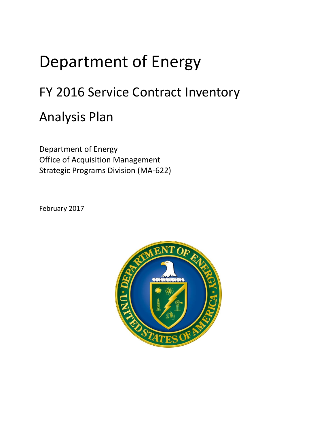## Department of Energy

## FY 2016 Service Contract Inventory

## Analysis Plan

Department of Energy Office of Acquisition Management Strategic Programs Division (MA-622)

February 2017